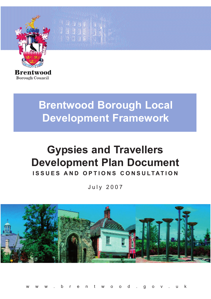

**Borough Council** 

# **Brentwood Borough Local Development Framework**

enargia (n. 1911)<br>Grafia (n. 1911)

## **Gypsies and Travellers Development Plan Document ISSUES AND OPTIONS CONSULTATION**

July 2007



www.brentwood.gov.uk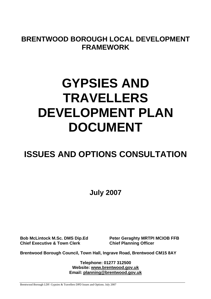**BRENTWOOD BOROUGH LOCAL DEVELOPMENT FRAMEWORK** 

# **GYPSIES AND TRAVELLERS DEVELOPMENT PLAN DOCUMENT**

### **ISSUES AND OPTIONS CONSULTATION**

**July 2007** 

**Chief Executive & Town Clerk Chief Planning Officer** 

**Bob McLintock M.Sc. DMS Dip.Ed Peter Geraghty MRTPI MCIOB FFB** 

**Brentwood Borough Council, Town Hall, Ingrave Road, Brentwood CM15 8AY** 

**Telephone: 01277 312500 Website: www.brentwood.gov.uk Email: planning@brentwood.gov.uk**

Brentwood Borough LDF: Gypsies & Travellers DPD Issues and Options. July 2007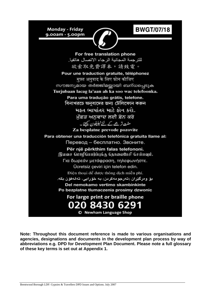**BWGT/07/18** 

**Monday - Friday** 9.00am - 5.00pm



For free translation phone للترجمة المجانية الرجاء الاتصال هاتفيا. 欲索取免費譯本,請致雷。 Pour une traduction gratuite, téléphonez मफ्त अनुवाद के लिए फोन कीजिए സൗജന്യമായ തർജ്ജിമയ്യായി ബന്ധപ്പെടുക Turjubaan lacag la'aan ah ka soo wac telefoonka. Para uma tradução grátis, telefone. বিনাখরচে অনুবাদের জন্য টেলিফোন করুন મકત ભાષાંતર માટે કોન કરો. ਮੁੱਫ਼ਤ ਅਨੁਵਾਦ ਲਈ ਫ਼ੋਨ ਕਰੋ مفت ترجحے کے لئے ٹیلیفون کیجئے۔ Za besplatne prevode pozovite Para obtener una traducción telefónica gratuita llame al: Перевод - бесплатно. Звоните. Për një përkthim falas telefononi. இலவச மொழிபெயர்ப்புக்கு தொலைபேசி செய்யவும். Για δωρεάν μετάφραση, τηλεφωνήστε. Ücretsiz çeviri için telefon edin. Điện thoại để được thông dịch miễn phí. بۆ وەرگێران (تەرجومەكردن) بە خۆرايى، تەلەفۆن بكە. Del nemokamo vertimo skambinkinte Po bezplatne tlumaczenia prosimy dzwonic For large print or braille phone 020 8430 6291 © Newham Language Shop

**Note: Throughout this document reference is made to various organisations and agencies, designations and documents in the development plan process by way of abbreviations e.g. DPD for Development Plan Document. Please note a full glossary of these key terms is set out at Appendix 1.**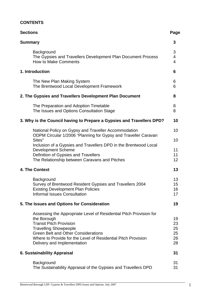#### **CONTENTS**

| <b>Sections</b>                                                                                                                                                                                                                                                                                   | Page                              |
|---------------------------------------------------------------------------------------------------------------------------------------------------------------------------------------------------------------------------------------------------------------------------------------------------|-----------------------------------|
| <b>Summary</b>                                                                                                                                                                                                                                                                                    | 3                                 |
| Background<br>The Gypsies and Travellers Development Plan Document Process<br><b>How to Make Comments</b>                                                                                                                                                                                         | 3<br>4<br>$\overline{\mathbf{4}}$ |
| 1. Introduction                                                                                                                                                                                                                                                                                   | 6                                 |
| The New Plan Making System<br>The Brentwood Local Development Framework                                                                                                                                                                                                                           | 6<br>6                            |
| 2. The Gypsies and Travellers Development Plan Document                                                                                                                                                                                                                                           | 8                                 |
| The Preparation and Adoption Timetable<br>The Issues and Options Consultation Stage                                                                                                                                                                                                               | 8<br>8                            |
| 3. Why is the Council having to Prepare a Gypsies and Travellers DPD?                                                                                                                                                                                                                             | 10                                |
| National Policy on Gypsy and Traveller Accommodation<br>ODPM Circular 1/2006 "Planning for Gypsy and Traveller Caravan<br>Sites"                                                                                                                                                                  | 10<br>10                          |
| Inclusion of a Gypsies and Travellers DPD in the Brentwood Local<br><b>Development Scheme</b><br>Definition of Gypsies and Travellers<br>The Relationship between Caravans and Pitches                                                                                                            | 11<br>11<br>12                    |
| 4. The Context                                                                                                                                                                                                                                                                                    | 13                                |
| Background<br>Survey of Brentwood Resident Gypsies and Travellers 2004<br><b>Existing Development Plan Policies</b><br><b>Informal Issues Consultation</b>                                                                                                                                        | 13<br>15<br>16<br>17              |
| 5. The Issues and Options for Consideration                                                                                                                                                                                                                                                       | 19                                |
| Assessing the Appropriate Level of Residential Pitch Provision for<br>the Borough<br><b>Transit Pitch Provision</b><br><b>Travelling Showpeople</b><br><b>Green Belt and Other Considerations</b><br>Where to Provide for the Level of Residential Pitch Provision<br>Delivery and Implementation | 19<br>23<br>25<br>25<br>26<br>28  |
| <b>6. Sustainability Appraisal</b>                                                                                                                                                                                                                                                                | 31                                |
| Background<br>The Sustainability Appraisal of the Gypsies and Travellers DPD                                                                                                                                                                                                                      | 31<br>31                          |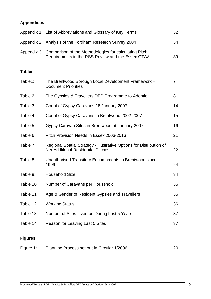### **Appendices**

|                | Appendix 1: List of Abbreviations and Glossary of Key Terms                                                            | 32             |
|----------------|------------------------------------------------------------------------------------------------------------------------|----------------|
|                | Appendix 2: Analysis of the Fordham Research Survey 2004                                                               | 34             |
|                | Appendix 3: Comparison of the Methodologies for calculating Pitch<br>Requirements in the RSS Review and the Essex GTAA | 39             |
| <b>Tables</b>  |                                                                                                                        |                |
| Table1:        | The Brentwood Borough Local Development Framework -<br><b>Document Priorities</b>                                      | $\overline{7}$ |
| Table 2        | The Gypsies & Travellers DPD Programme to Adoption                                                                     | 8              |
| Table 3:       | Count of Gypsy Caravans 18 January 2007                                                                                | 14             |
| Table 4:       | Count of Gypsy Caravans in Brentwood 2002-2007                                                                         | 15             |
| Table 5:       | Gypsy Caravan Sites in Brentwood at January 2007                                                                       | 16             |
| Table 6:       | Pitch Provision Needs in Essex 2006-2016                                                                               | 21             |
| Table 7:       | Regional Spatial Strategy - Illustrative Options for Distribution of<br><b>Net Additional Residential Pitches</b>      | 22             |
| Table 8:       | Unauthorised Transitory Encampments in Brentwood since<br>1999                                                         | 24             |
| Table 9:       | <b>Household Size</b>                                                                                                  | 34             |
| Table 10:      | Number of Caravans per Household                                                                                       | 35             |
| Table 11:      | Age & Gender of Resident Gypsies and Travellers                                                                        | 35             |
| Table 12:      | <b>Working Status</b>                                                                                                  | 36             |
| Table 13:      | Number of Sites Lived on During Last 5 Years                                                                           | 37             |
| Table 14:      | Reason for Leaving Last 5 Sites                                                                                        | 37             |
| <b>Figures</b> |                                                                                                                        |                |

| Figure 1: | Planning Process set out in Circular 1/2006 | 20 |
|-----------|---------------------------------------------|----|
|-----------|---------------------------------------------|----|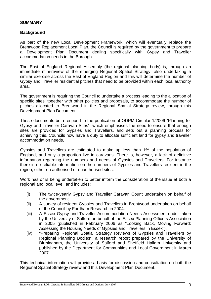#### **SUMMARY**

#### **Background**

As part of the new Local Development Framework, which will eventually replace the Brentwood Replacement Local Plan, the Council is required by the government to prepare a Development Plan Document dealing specifically with Gypsy and Traveller accommodation needs in the Borough.

The East of England Regional Assembly (the regional planning body) is, through an immediate mini-review of the emerging Regional Spatial Strategy, also undertaking a similar exercise across the East of England Region and this will determine the number of Gypsy and Traveller residential pitches that need to be provided within each local authority area.

The government is requiring the Council to undertake a process leading to the allocation of specific sites, together with other policies and proposals, to accommodate the number of pitches allocated to Brentwood in the Regional Spatial Strategy review, through this Development Plan Document.

These documents both respond to the publication of ODPM Circular 1/2006 "Planning for Gypsy and Traveller Caravan Sites", which emphasises the need to ensure that enough sites are provided for Gypsies and Travellers, and sets out a planning process for achieving this. Councils now have a duty to allocate sufficient land for gypsy and traveller accommodation needs.

Gypsies and Travellers are estimated to make up less than 1% of the population of England, and only a proportion live in caravans. There is, however, a lack of definitive information regarding the numbers and needs of Gypsies and Travellers. For instance there is no reliable information on the numbers of Gypsies and Travellers resident in the region, either on authorised or unauthorised sites.

Work has or is being undertaken to better inform the consideration of the issue at both a regional and local level, and includes:

- (i) The twice-yearly Gypsy and Traveller Caravan Count undertaken on behalf of the government.
- (ii) A survey of resident Gypsies and Travellers in Brentwood undertaken on behalf of the Council by Fordham Research in 2004.
- (iii) A Essex Gypsy and Traveller Accommodation Needs Assessment under taken by the University of Salford on behalf of the Essex Planning Officers Association in 2005 (published in February 2006 as "Looking Back, Moving Forward: Assessing the Housing Needs of Gypsies and Travellers in Essex").
- (iv) "Preparing Regional Spatial Strategy Reviews of Gypsies and Travellers by Regional Planning Bodies", a research report prepared by the University of Birmingham, the University of Salford and Sheffield Hallam University and published by the Department for Communities and Local Government in March 2007.

This technical information will provide a basis for discussion and consultation on both the Regional Spatial Strategy review and this Development Plan Document.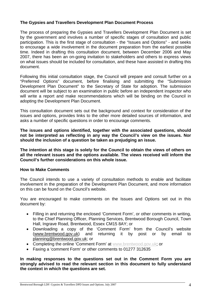#### **The Gypsies and Travellers Development Plan Document Process**

The process of preparing the Gypsies and Travellers Development Plan Document is set by the government and involves a number of specific stages of consultation and public participation. This is the first stage of consultation - the "Issues and Options" - and seeks to encourage a wide involvement in the document preparation from the earliest possible time. Indeed in drafting this consultation document, between December 2006 and May 2007, there has been an on-going invitation to stakeholders and others to express views on what issues should be included for consultation, and these have assisted in drafting this document.

Following this initial consultation stage, the Council will prepare and consult further on a "Preferred Options" document, before finalising and submitting the "Submission Development Plan Document" to the Secretary of State for adoption. The submission document will be subject to an examination in public before an independent inspector who will write a report and make recommendations which will be binding on the Council in adopting the Development Plan Document.

This consultation document sets out the background and context for consideration of the issues and options, provides links to the other more detailed sources of information, and asks a number of specific questions in order to encourage comments.

**The issues and options identified, together with the associated questions, should not be interpreted as reflecting in any way the Council's view on the issues. Nor should the inclusion of a question be taken as prejudging an issue.** 

**The intention at this stage is solely for the Council to obtain the views of others on all the relevant issues and the options available. The views received will inform the Council's further considerations on this whole issue.** 

#### **How to Make Comments**

The Council intends to use a variety of consultation methods to enable and facilitate involvement in the preparation of the Development Plan Document, and more information on this can be found on the Council's website.

You are encouraged to make comments on the Issues and Options set out in this document by:

- Filling in and returning the enclosed 'Comment Form', or other comments in writing, to the Chief Planning Officer, Planning Services, Brentwood Borough Council, Town Hall, Ingrave Road, Brentwood, Essex CM15 8AY; or
- Downloading a copy of the 'Comment Form' from the Council's website (www.brentwood.gov.uk) and returning it by post or by email to planning@brentwood.gov.uk; or
- Completing the online 'Comment Form' at www.brentwood.gov.uk; or
- Faxing a 'comment Form' or other comments to 01277 312635

**In making responses to the questions set out in the Comment Form you are strongly advised to read the relevant section in this document to fully understand the context in which the questions are set.**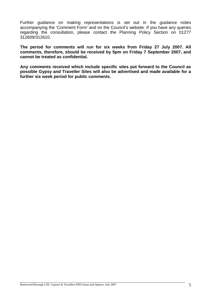Further guidance on making representations is set out in the guidance notes accompanying the 'Comment Form' and on the Council's website. If you have any queries regarding the consultation, please contact the Planning Policy Section on 01277 312609/312610.

**The period for comments will run for six weeks from Friday 27 July 2007. All comments, therefore, should be received by 5pm on Friday 7 September 2007, and cannot be treated as confidential.** 

**Any comments received which include specific sites put forward to the Council as possible Gypsy and Traveller Sites will also be advertised and made available for a further six week period for public comments.**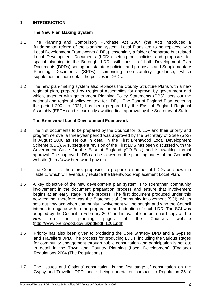#### **1. INTRODUCTION**

#### **The New Plan Making System**

- 1.1 The Planning and Compulsory Purchase Act 2004 (the Act) introduced a fundamental reform of the planning system. Local Plans are to be replaced with Local Development Frameworks (LDFs), essentially a folder of separate but related Local Development Documents (LDDs) setting out policies and proposals for spatial planning in the Borough. LDDs will consist of both Development Plan Documents (DPDs) setting out statutory policies and proposals and Supplementary Planning Documents (SPDs), comprising non-statutory guidance, which supplement in more detail the policies in DPDs.
- 1.2 The new plan-making system also replaces the County Structure Plans with a new regional plan, prepared by Regional Assemblies for approval by government and which, together with government Planning Policy Statements (PPS), sets out the national and regional policy context for LDFs. The East of England Plan, covering the period 2001 to 2021, has been prepared by the East of England Regional Assembly (EERA) and is currently awaiting final approval by the Secretary of State.

#### **The Brentwood Local Development Framework**

- 1.3 The first documents to be prepared by the Council for its LDF and their priority and programme over a three-year period was approved by the Secretary of State (SoS) in August 2006 as set out in detail in the First Brentwood Local Development Scheme (LDS). A subsequent revision of the First LDS has been discussed with the Government Office for the East of England (GO-East) and is awaiting formal approval. The approved LDS can be viewed on the planning pages of the Council's website (http://www.brentwood.gov.uk).
- 1.4 The Council is, therefore, proposing to prepare a number of LDDs as shown in Table 1, which will eventually replace the Brentwood Replacement Local Plan.
- 1.5 A key objective of the new development plan system is to strengthen community involvement in the document preparation process and ensure that involvement begins at an early stage in the process. The first document produced under this new regime, therefore was the Statement of Community Involvement (SCI), which sets out how and when community involvement will be sought and who the Council intends to engage with in the preparation and adoption of each LDD. The SCI was adopted by the Council in February 2007 and is available in both hard copy and to view on the planning pages of the Council's website (http://www.brentwood.gov.uk/pdf/pdf\_1201.pdf).
- 1.6 Priority has also been given to producing the Core Strategy DPD and a Gypsies and Travellers DPD. The process for producing LDDs, including the various stages for community engagement through public consultation and participation is set out in detail in the Town and Country Planning (Local Development) (England) Regulations 2004 (The Regulations).
- 1.7 The 'Issues and Options' consultation, is the first stage of consultation on the Gypsy and Traveller DPD, and is being undertaken pursuant to Regulation 25 of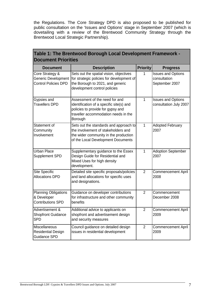the Regulations. The Core Strategy DPD is also proposed to be published for public consultation on the 'Issues and Options' stage in September 2007 (which is dovetailing with a review of the Brentwood Community Strategy through the Brentwood Local Strategic Partnership).

| Table 1: The Brentwood Borough Local Development Framework -<br><b>Document Priorities</b> |                                                                                                                                                                    |                 |                                                             |  |  |  |
|--------------------------------------------------------------------------------------------|--------------------------------------------------------------------------------------------------------------------------------------------------------------------|-----------------|-------------------------------------------------------------|--|--|--|
| <b>Document</b>                                                                            | <b>Description</b>                                                                                                                                                 | <b>Priority</b> | <b>Progress</b>                                             |  |  |  |
| Core Strategy &<br><b>Generic Development</b><br><b>Control Policies DPD</b>               | Sets out the spatial vision, objectives<br>for strategic policies for development of<br>the Borough to 2021, and generic<br>development control policies           | 1               | <b>Issues and Options</b><br>consultation<br>September 2007 |  |  |  |
| Gypsies and<br><b>Travellers DPD</b>                                                       | Assessment of the need for and<br>identification of a specific site(s) and<br>policies to provide for gypsy and<br>traveller accommodation needs in the<br>Borough | 1               | <b>Issues and Options</b><br>consultation July 2007         |  |  |  |
| Statement of<br>Community<br>Involvement                                                   | Sets out the standards and approach to<br>the involvement of stakeholders and<br>the wider community in the production<br>of the Local Development Documents       | $\mathbf{1}$    | <b>Adopted February</b><br>2007                             |  |  |  |
| <b>Urban Place</b><br>Supplement SPD                                                       | Supplementary guidance to the Essex<br>Design Guide for Residential and<br>Mixed Uses for high density<br>development.                                             | 1               | <b>Adoption September</b><br>2007                           |  |  |  |
| Site Specific<br><b>Allocations DPD</b>                                                    | Detailed site specific proposals/policies<br>and land allocations for specific uses<br>and designations.                                                           | $\overline{2}$  | <b>Commencement April</b><br>2008                           |  |  |  |
| <b>Planning Obligations</b><br>& Developer<br><b>Contributions SPD</b>                     | Guidance on developer contributions<br>for infrastructure and other community<br>benefits                                                                          | $\overline{2}$  | Commencement<br>December 2008                               |  |  |  |
| Advertisement &<br><b>Shopfront Guidance</b><br><b>SPD</b>                                 | Additional advice to applicants on<br>shopfront and advertisement design<br>and security measures                                                                  | $\overline{2}$  | <b>Commencement April</b><br>2009                           |  |  |  |
| Miscellaneous<br><b>Residential Design</b><br>Guidance SPD                                 | Council guidance on detailed design<br>issues in residential development                                                                                           | $\overline{2}$  | <b>Commencement April</b><br>2009                           |  |  |  |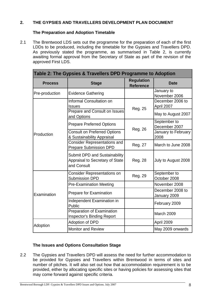#### **2. THE GYPSIES AND TRAVELLERS DEVELOPMENT PLAN DOCUMENT**

#### **The Preparation and Adoption Timetable**

2.1 The Brentwood LDS sets out the programme for the preparation of each of the first LDDs to be produced, including the timetable for the Gypsies and Travellers DPD. As previously stated the programme, as summarised in Table 2, is currently awaiting formal approval from the Secretary of State as part of the revision of the approved First LDS.

| Table 2: The Gypsies & Travellers DPD Programme to Adoption |                                                                                        |         |                                  |  |  |
|-------------------------------------------------------------|----------------------------------------------------------------------------------------|---------|----------------------------------|--|--|
| <b>Process</b>                                              | <b>Stage</b>                                                                           |         | <b>Date</b>                      |  |  |
| Pre-production                                              | <b>Evidence Gathering</b>                                                              |         | January to<br>November 2006      |  |  |
|                                                             | Informal Consultation on<br><b>Issues</b>                                              | Reg. 25 | December 2006 to<br>April 2007   |  |  |
|                                                             | Prepare and Consult on Issues<br>and Options                                           |         | May to August 2007               |  |  |
|                                                             | <b>Prepare Preferred Options</b>                                                       | Reg. 26 | September to<br>December 2007    |  |  |
| Production                                                  | <b>Consult on Preferred Options</b><br>& Sustainability Appraisal                      |         | January to February<br>2008      |  |  |
|                                                             | <b>Consider Representations and</b><br><b>Prepare Submission DPD</b>                   | Reg. 27 | March to June 2008               |  |  |
|                                                             | <b>Submit DPD and Sustainability</b><br>Appraisal to Secretary of State<br>and Consult | Reg. 28 | July to August 2008              |  |  |
|                                                             | <b>Consider Representations on</b><br><b>Submission DPD</b>                            | Reg. 29 | September to<br>October 2008     |  |  |
|                                                             | <b>Pre-Examination Meeting</b>                                                         |         | November 2008                    |  |  |
| Examination                                                 | Prepare for Examination                                                                |         | December 2008 to<br>January 2009 |  |  |
|                                                             | Independent Examination in<br>Public                                                   |         | February 2009                    |  |  |
|                                                             | Preparation of Examination<br><b>Inspector's Binding Report</b>                        |         | March 2009                       |  |  |
| Adoption                                                    | <b>Adoption of DPD</b>                                                                 |         | April 2009                       |  |  |
|                                                             | <b>Monitor and Review</b>                                                              |         | May 2009 onwards                 |  |  |

#### **The Issues and Options Consultation Stage**

2.2 The Gypsies and Travellers DPD will assess the need for further accommodation to be provided for Gypsies and Travellers within Brentwood in terms of sites and number of pitches. It will also set out how that accommodation requirement is to be provided, either by allocating specific sites or having policies for assessing sites that may come forward against specific criteria.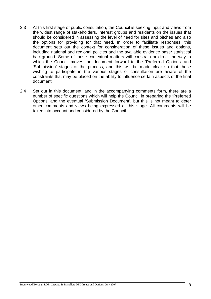- 2.3 At this first stage of public consultation, the Council is seeking input and views from the widest range of stakeholders, interest groups and residents on the issues that should be considered in assessing the level of need for sites and pitches and also the options for providing for that need. In order to facilitate responses, this document sets out the context for consideration of these issues and options, including national and regional policies and the available evidence base/ statistical background. Some of these contextual matters will constrain or direct the way in which the Council moves the document forward to the 'Preferred Options' and 'Submission' stages of the process, and this will be made clear so that those wishing to participate in the various stages of consultation are aware of the constraints that may be placed on the ability to influence certain aspects of the final document.
- 2.4 Set out in this document, and in the accompanying comments form, there are a number of specific questions which will help the Council in preparing the 'Preferred Options' and the eventual 'Submission Document', but this is not meant to deter other comments and views being expressed at this stage. All comments will be taken into account and considered by the Council.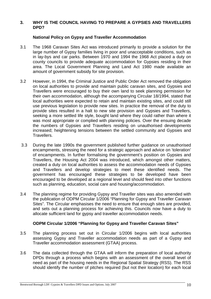#### **3. WHY IS THE COUNCIL HAVING TO PREPARE A GYPSIES AND TRAVELLERS DPD?**

#### **National Policy on Gypsy and Traveller Accommodation**

- 3.1 The 1968 Caravan Sites Act was introduced primarily to provide a solution for the large number of Gypsy families living in poor and unacceptable conditions, such as in lay-bys and car parks. Between 1970 and 1994 the 1968 Act placed a duty on county councils to provide adequate accommodation for Gypsies residing in their area. The Local Government Planning and Land Act 1980 made available an amount of government subsidy for site provision.
- 3.2 However, in 1994, the Criminal Justice and Public Order Act removed the obligation on local authorities to provide and maintain public caravan sites, and Gypsies and Travellers were encouraged to buy their own land to seek planning permission for their own accommodation, although the accompanying Circular 18/1994, stated that local authorities were expected to retain and maintain existing sites, and could still use previous legislation to provide new sites. In practice the removal of the duty to provide sites resulted in a halt to new site provision and Gypsies and Travellers, seeking a more settled life style, bought land where they could rather than where it was most appropriate or complied with planning policies. Over the ensuing decade the numbers of Gypsies and Travellers residing on unauthorised developments increased; heightening tensions between the settled community and Gypsies and Travellers.
- 3.3 During the late 1990s the government published further guidance on unauthorised encampments, stressing the need for a strategic approach and advice on 'toleration' of encampments. In further formalising the government's position on Gypsies and Travellers, the Housing Act 2004 was introduced, which amongst other matters, created a duty on local authorities to assess the accommodation needs of Gypsies and Travellers and develop strategies to meet these identified needs. The government has encouraged these strategies to be developed have been encouraged to be developed at a regional level and should feed into other functions such as planning, education, social care and housing/accommodation.
- 3.4 The planning regime for providing Gypsy and Traveller sites was also amended with the publication of ODPM Circular 1/2006 "Planning for Gypsy and Traveller Caravan Sites". The Circular emphasises the need to ensure that enough sites are provided, and sets out a planning process for achieving this. Councils now have a duty to allocate sufficient land for gypsy and traveller accommodation needs.

#### **ODPM Circular 1/2006 "Planning for Gypsy and Traveller Caravan Sites"**

- 3.5 The planning process set out in Circular 1/2006 begins with local authorities assessing Gypsy and Traveller accommodation needs as part of a Gypsy and Traveller accommodation assessment (GTAA) process.
- 3.6 The data collected through the GTAA will inform the preparation of local authority DPDs through a process which begins with an assessment of the overall level of need as part of the housing needs in the Regional Spatial Strategy (RSS). The RSS should identify the number of pitches required (but not their location) for each local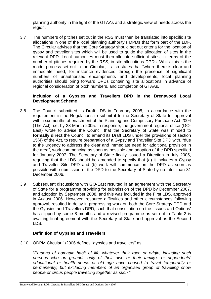planning authority in the light of the GTAAs and a strategic view of needs across the region.

3.7 The numbers of pitches set out in the RSS must then be translated into specific site allocations in one of the local planning authority's DPDs that form part of the LDF. The Circular advises that the Core Strategy should set out criteria for the location of gypsy and traveller sites which will be used to guide the allocation of sites in the relevant DPD. Local authorities must then allocate sufficient sites, in terms of the number of pitches required by the RSS, in site allocations DPDs. Whilst this is the model process set out in the Circular, it also states that "where there is clear and immediate need, for instance evidenced through the presence of significant numbers of unauthorised encampments and developments, local planning authorities should bring forward DPDs containing site allocations in advance of regional consideration of pitch numbers, and completion of GTAAs.

#### **Inclusion of a Gypsies and Travellers DPD in the Brentwood Local Development Scheme**

- 3.8 The Council submitted its Draft LDS in February 2005, in accordance with the requirement in the Regulations to submit it to the Secretary of State for approval within six months of enactment of the Planning and Compulsory Purchase Act 2004 (The Act), i.e. by 28 March 2005. In response, the government regional office (GO-East) wrote to advise the Council that the Secretary of State was minded to **formally direct** the Council to amend its Draft LDS under the provisions of section 15(4) of the Act, to require preparation of a Gypsy and Traveller Site DPD with, "due to the urgency to address the clear and immediate need for additional provision in the area", work commencing as soon as possible and adoption of the DPD specified for January 2007. The Secretary of State finally issued a Direction in July 2005, requiring that the LDS should be amended to specify that (a) it includes a Gypsy and Traveller Site DPD and (b) work will commence on the DPD as soon as possible with submission of the DPD to the Secretary of State by no later than 31 December 2006.
- 3.9 Subsequent discussions with GO-East resulted in an agreement with the Secretary of State for a programme providing for submission of the DPD by December 2007, and adoption by September 2008, and this was included in the First LDS, approved in August 2006. However, resource difficulties and other circumstances following approval, resulted in delay in progressing work on both the Core Strategy DPD and the Gypsies and Travellers DPD, such that consultation on the 'Issues and Options' has slipped by some 8 months and a revised programme as set out in Table 2 is awaiting final agreement with the Secretary of State and approval as the Second LDS.

#### **Definition of Gypsies and Travellers**

3.10 ODPM Circular 1/2006 defines "gypsies and travellers" as;

*"Persons of nomadic habit of life whatever their race or origin, including such persons who on grounds only of their own or their family's or dependents' educational or health needs or old age have ceased to travel temporarily or permanently, but excluding members of an organised group of travelling show people or circus people travelling together as such."*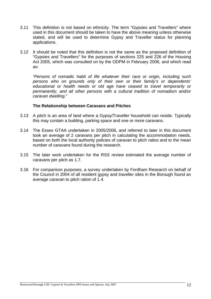- 3.11 This definition is not based on ethnicity. The term "Gypsies and Travellers" where used in this document should be taken to have the above meaning unless otherwise stated, and will be used to determine Gypsy and Traveller status for planning applications.
- 3.12 It should be noted that this definition is not the same as the proposed definition of "Gypsies and Travellers" for the purposes of sections 225 and 226 of the Housing Act 2005, which was consulted on by the ODPM in February 2006, and which read as:

*"Persons of nomadic habit of life whatever their race or origin, including such persons who on grounds only of their own or their family's or dependents' educational or health needs or old age have ceased to travel temporarily or permanently, and all other persons with a cultural tradition of nomadism and/or caravan dwelling."* 

#### **The Relationship between Caravans and Pitches**

- 3.13 A pitch is an area of land where a Gypsy/Traveller household can reside. Typically this may contain a building, parking space and one or more caravans.
- 3.14 The Essex GTAA undertaken in 2005/2006, and referred to later in this document took an average of 2 caravans per pitch in calculating the accommodation needs, based on both the local authority policies of caravan to pitch ratios and to the mean number of caravans found during the research.
- 3.15 The later work undertaken for the RSS review estimated the average number of caravans per pitch as 1.7.
- 3.16 For comparison purposes, a survey undertaken by Fordham Research on behalf of the Council in 2004 of all resident gypsy and traveller sites in the Borough found an average caravan to pitch ration of 1.4.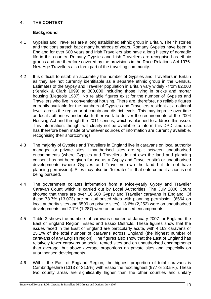#### **4. THE CONTEXT**

#### **Background**

- 4.1 Gypsies and Travellers are a long established ethnic group in Britain. Their histories and traditions stretch back many hundreds of years. Romany Gypsies have been in England for over 600 years and Irish Travellers also have a long history of nomadic life in this country. Romany Gypsies and Irish Travellers are recognised as ethnic groups and are therefore covered by the provisions in the Race Relations Act 1976. New Age Travellers also form part of the travelling community.
- 4.2 It is difficult to establish accurately the number of Gypsies and Travellers in Britain as they are not currently identifiable as a separate ethnic group in the Census. Estimates of the Gypsy and Traveller population in Britain vary widely - from 82,000 (Kenrick & Clark 1999) to 300,000 including those living in bricks and mortar housing (Liegeois 1987). No reliable figures exist for the number of Gypsies and Travellers who live in conventional housing. There are, therefore, no reliable figures currently available for the numbers of Gypsies and Travellers resident at a national level, across the region or at county and district levels. This may improve over time as local authorities undertake further work to deliver the requirements of the 2004 Housing Act and through the 2011 census, which is planned to address this issue. This information, though, will clearly not be available to inform this DPD, and use has therefore been made of whatever sources of information are currently available, recognising their shortcomings.
- 4.3 The majority of Gypsies and Travellers in England live in caravans on local authority managed or private sites. Unauthorised sites are split between unauthorised encampments (where Gypsies and Travellers do not own the land and planning consent has not been given for use as a Gypsy and Traveller site) or unauthorised developments (where Gypsies and Travellers own the land but do not have planning permission). Sites may also be "tolerated" in that enforcement action is not being pursued.
- 4.4 The government collates information from a twice-yearly Gypsy and Traveller Caravan Count which is carried out by Local Authorities. The July 2006 Count showed that there are over 16,600 Gypsy and Traveller caravans in England. Of these 78.7% (13,073) are on authorised sites with planning permission (6564 on local authority sites and 6509 on private sites). 13.6% (2,252) were on unauthorised developments and 7.7% (1,287) were on unauthorised encampments.
- 4.5 Table 3 shows the numbers of caravans counted at January 2007 for England, the East of England Region, Essex and Essex Districts. These figures show that the issues faced in the East of England are particularly acute, with 4,163 caravans or 25.1% of the total number of caravans across England (the highest number of caravans of any English region). The figures also show that the East of England has relatively fewer caravans on social rented sites and on unauthorised encampments than average, but above average proportions on private sites and especially on unauthorised developments.
- 4.6 Within the East of England Region, the highest proportion of total caravans is Cambridgeshire (1313 or 31.5%) with Essex the next highest (977 or 23.5%). These two county areas are significantly higher than the other counties and unitary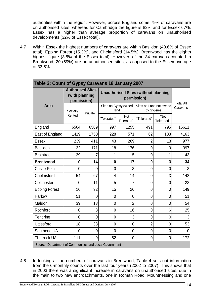authorities within the region. However, across England some 79% of caravans are on authorised sites, whereas for Cambridge the figure is 82% and for Essex 67%. Essex has a higher than average proportion of caravans on unauthorised developments (32% of Essex total).

4.7 Within Essex the highest numbers of caravans are within Basildon (40.6% of Essex total), Epping Forest (15.3%), and Chelmsford (14.5%). Brentwood has the eighth highest figure (3.5% of the Essex total). However, of the 34 caravans counted in Brentwood, 20 (59%) are on unauthorised sites, as opposed to the Essex average of 33.5%.

| Table 3: Count of Gypsy Caravans 18 January 2007       |                                                          |         |                                                            |                              |                |                                       |                              |
|--------------------------------------------------------|----------------------------------------------------------|---------|------------------------------------------------------------|------------------------------|----------------|---------------------------------------|------------------------------|
|                                                        | <b>Authorised Sites</b><br>(with planning<br>permission) |         | <b>Unauthorised Sites (without planning</b><br>permission) |                              |                |                                       |                              |
| <b>Area</b>                                            | Socially                                                 | Private |                                                            | Sites on Gypsy owned<br>land |                | Sites on Land not owned<br>by Gypsies | <b>Total All</b><br>Caravans |
|                                                        | Rented                                                   |         | "Tolerated"                                                | "Not<br>Tolerated"           | "Tolerated"    | "Not<br>Tolerated"                    |                              |
| England                                                | 6564                                                     | 6509    | 997                                                        | 1255                         | 491            | 795                                   | 16611                        |
| East of England                                        | 1419                                                     | 1750    | 228                                                        | 571                          | 62             | 133                                   | 4163                         |
| <b>Essex</b>                                           | 239                                                      | 411     | 43                                                         | 269                          | 2              | 13                                    | 977                          |
| <b>Basildon</b>                                        | 32                                                       | 171     | 18                                                         | 176                          | $\overline{0}$ | $\overline{0}$                        | 397                          |
| <b>Braintree</b>                                       | 29                                                       | 7       |                                                            | 5                            | $\mathbf 0$    |                                       | 43                           |
| <b>Brentwood</b>                                       | $\mathbf 0$                                              | 14      | $\bf{0}$                                                   | 17                           | $\bf{0}$       | 3                                     | 34                           |
| <b>Castle Point</b>                                    | 0                                                        | 0       | $\overline{0}$                                             | 3                            | $\mathbf 0$    | $\overline{0}$                        | 3                            |
| Chelmsford                                             | 54                                                       | 67      | 4                                                          | 14                           | 0              | 3                                     | 142                          |
| Colchester                                             | 0                                                        | 11      | 5                                                          | 7                            | $\overline{0}$ | $\overline{0}$                        | 23                           |
| <b>Epping Forest</b>                                   | 16                                                       | 92      | 15                                                         | 26                           | $\overline{0}$ | $\overline{0}$                        | 149                          |
| <b>Harlow</b>                                          | 51                                                       | 0       | 0                                                          | 0                            | $\overline{0}$ | $\mathbf 0$                           | 51                           |
| Maldon                                                 | 39                                                       | 13      | $\overline{0}$                                             | $\overline{2}$               | $\overline{0}$ | $\overline{0}$                        | 54                           |
| Rochford                                               | 0                                                        | 3       | $\overline{0}$                                             | 16                           | $\overline{0}$ | $6 \overline{6}$                      | 25                           |
| Tendring                                               | 0                                                        | 0       | 0                                                          | 3                            | $\overline{0}$ | 0                                     | 3                            |
| <b>Uttlesford</b>                                      | 18                                                       | 33      | $\overline{0}$                                             | 0                            | $\overline{2}$ | $\overline{0}$                        | 53                           |
| Southend UA                                            | 0                                                        | 0       | $\overline{0}$                                             | 0                            | 0              | $\mathbf 0$                           | 0                            |
| <b>Thurrock UA</b>                                     | 111                                                      | 9       | 52                                                         | 0                            | 0              | $\mathbf 0$                           | 172                          |
| Source: Department of Communities and Local Government |                                                          |         |                                                            |                              |                |                                       |                              |

4.8 In looking at the numbers of caravans in Brentwood, Table 4 sets out information from the 6-monthly counts over the last four years (2002 to 2007). This shows that in 2003 there was a significant increase in caravans on unauthorised sites, due in the main to two new encroachments, one in Roman Road, Mountnessing and one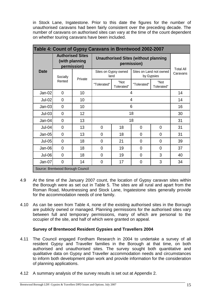in Stock Lane, Ingatestone. Prior to this date the figures for the number of unauthorised caravans had been fairly consistent over the preceding decade. The number of caravans on authorised sites can vary at the time of the count dependent on whether touring caravans have been included.

| Table 4: Count of Gypsy Caravans in Brentwood 2002-2007 |                |                                                          |                                                            |                              |                |                                       |    |  |
|---------------------------------------------------------|----------------|----------------------------------------------------------|------------------------------------------------------------|------------------------------|----------------|---------------------------------------|----|--|
|                                                         |                | <b>Authorised Sites</b><br>(with planning<br>permission) | <b>Unauthorised Sites (without planning</b><br>permission) |                              |                | <b>Total All</b>                      |    |  |
| <b>Date</b>                                             | Socially       |                                                          |                                                            | Sites on Gypsy owned<br>land |                | Sites on Land not owned<br>by Gypsies |    |  |
|                                                         | Rented         | Private                                                  | "Tolerated"                                                | "Not<br>Tolerated"           | "Tolerated"    | "Not<br>Tolerated"                    |    |  |
| $Jan-02$                                                | $\overline{0}$ | 10                                                       |                                                            | 4                            |                |                                       |    |  |
| <b>Jul-02</b>                                           | $\Omega$       | 10                                                       | 4                                                          |                              |                |                                       | 14 |  |
| Jan-03                                                  | $\mathbf 0$    | 10                                                       | 6                                                          |                              |                |                                       | 16 |  |
| $Jul-03$                                                | $\overline{0}$ | 12                                                       |                                                            | 18                           |                |                                       |    |  |
| $Jan-04$                                                | 0              | 13                                                       |                                                            |                              | 18             |                                       | 31 |  |
| <b>Jul-04</b>                                           | 0              | 13                                                       | $\mathbf 0$                                                | 18                           | $\overline{0}$ | $\mathbf{0}$                          | 31 |  |
| $Jan-05$                                                | 0              | 13                                                       | $\mathbf 0$                                                | 18                           | $\overline{0}$ | $\overline{0}$                        | 31 |  |
| $Jul-05$                                                | 0              | 18                                                       | $\mathbf 0$                                                | 21                           | 0              | 0                                     | 39 |  |
| $Jan-06$                                                | 0              | 18                                                       | $\mathbf 0$                                                | 19                           | $\overline{0}$ | 0                                     | 37 |  |
| Jul-06                                                  | 0              | 18                                                       | 0                                                          | 19                           | 0              | 3                                     | 40 |  |
| $Jan-07$                                                | 0              | 14                                                       | $\mathbf 0$                                                | 17                           | $\overline{0}$ | 3                                     | 34 |  |
| Source: Brentwood Borough Council                       |                |                                                          |                                                            |                              |                |                                       |    |  |

- 4.9 At the time of the January 2007 count, the location of Gypsy caravan sites within the Borough were as set out in Table 5. The sites are all rural and apart from the Roman Road, Mountnessing and Stock Lane, Ingatestone sites generally provide for the accommodation needs of one family.
- 4.10 As can be seen from Table 4, none of the existing authorised sites in the Borough are publicly owned or managed. Planning permissions for the authorised sites vary between full and temporary permissions, many of which are personal to the occupier of the site, and half of which were granted on appeal.

#### **Survey of Brentwood Resident Gypsies and Travellers 2004**

- 4.11 The Council engaged Fordham Research in 2004 to undertake a survey of all resident Gypsy and Traveller families in the Borough at that time, on both authorised and unauthorised sites. The survey sought both quantitative and qualitative data on Gypsy and Traveller accommodation needs and circumstances to inform both development plan work and provide information for the consideration of planning applications.
- 4.12 A summary analysis of the survey results is set out at Appendix 2.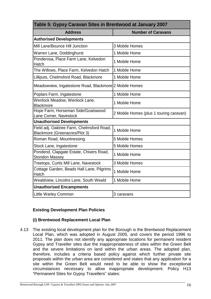| Table 5: Gypsy Caravan Sites in Brentwood at January 2007                         |                                         |  |  |  |  |  |
|-----------------------------------------------------------------------------------|-----------------------------------------|--|--|--|--|--|
| <b>Address</b><br><b>Number of Caravans</b>                                       |                                         |  |  |  |  |  |
| <b>Authorised Developments</b>                                                    |                                         |  |  |  |  |  |
| Mill Lane/Bounce Hill Junction                                                    | 3 Mobile Homes                          |  |  |  |  |  |
| Warren Lane, Doddinghurst                                                         | 1 Mobile Home                           |  |  |  |  |  |
| Ponderosa, Place Farm Lane, Kelvedon<br>Hatch                                     | 1 Mobile Home                           |  |  |  |  |  |
| The Willows, Place Farm, Kelvedon Hatch                                           | 1 Mobile Home                           |  |  |  |  |  |
| Lilliputs, Chelmsford Road, Blackmore                                             | 1 Mobile Home                           |  |  |  |  |  |
| Meadowview, Ingatestone Road, Blackmore 2 Mobile Homes                            |                                         |  |  |  |  |  |
| Poplars Farm, Ingatestone                                                         | 1 Mobile Home                           |  |  |  |  |  |
| Wenlock Meadow, Wenlock Lane,<br><b>Blackmore</b>                                 | 1 Mobile Home                           |  |  |  |  |  |
| Hope Farm, Horseman Side/Goatswood<br>Lane Corner, Navestock                      | 2 Mobile Homes (plus 1 touring caravan) |  |  |  |  |  |
| <b>Unauthorised Developments</b>                                                  |                                         |  |  |  |  |  |
| Field adj. Oaktree Farm, Chelmsford Road,<br><b>Blackmore (Greenacres/Plot 3)</b> | 1 Mobile Home                           |  |  |  |  |  |
| Roman Road, Mountnessing                                                          | 5 Mobile Homes                          |  |  |  |  |  |
| Stock Lane, Ingatestone                                                           | 5 Mobile Homes                          |  |  |  |  |  |
| Pondend, Clapgate Estate, Chivers Road,<br><b>Stondon Massey</b>                  | 1 Mobile Home                           |  |  |  |  |  |
| Treetops, Curtis Mill Lane, Navestock                                             | 3 Mobile Homes                          |  |  |  |  |  |
| Cottage Garden, Beads Hall Lane, Pilgrims<br>Hatch                                | 1 Mobile Home                           |  |  |  |  |  |
| Wealdview, Lincolns Lane, South Weald                                             | 1 Mobile Home                           |  |  |  |  |  |
| <b>Unauthorised Encampments</b>                                                   |                                         |  |  |  |  |  |
| <b>Little Warley Common</b>                                                       | 3 caravans                              |  |  |  |  |  |

#### **Existing Development Plan Policies**

#### **(i) Brentwood Replacement Local Plan**

4.13 The existing local development plan for the Borough is the Brentwood Replacement Local Plan, which was adopted in August 2005, and covers the period 1996 to 2011. The plan does not identify any appropriate locations for permanent resident Gypsy and Traveller sites due the inappropriateness of sites within the Green Belt and the severe limitations on land within the urban areas. The adopted plan, therefore, includes a criteria based policy against which further private site proposals within the urban area are considered and states that any application for a site within the Green Belt would need to be able to show the exceptional circumstances necessary to allow inappropriate development. Policy H13 "Permanent Sites for Gypsy Travellers" states: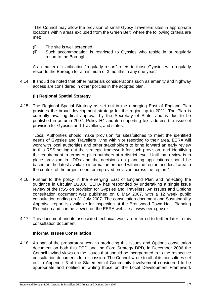"The Council may allow the provision of small Gypsy Travellers sites in appropriate locations within areas excluded from the Green Belt, where the following criteria are met:

- (i) The site is well screened
- (ii) Such accommodation is restricted to Gypsies who reside in or regularly resort to the Borough.

As a matter of clarification "regularly resort" refers to those Gypsies who regularly resort to the Borough for a minimum of 3 months in any one year."

4.14 It should be noted that other materials considerations such as amenity and highway access are considered in other policies in the adopted plan.

#### **(ii) Regional Spatial Strategy**

4.15 The Regional Spatial Strategy as set out in the emerging East of England Plan provides the broad development strategy for the region up to 2021. The Plan is currently awaiting final approval by the Secretary of State, and is due to be published in autumn 2007. Policy H4 and its supporting text address the issue of provision for Gypsies and Travellers, and states:

 "Local Authorities should make provision for sites/pitches to meet the identified needs of Gypsies and Travellers living within or resorting to their area. EERA will work with local authorities and other stakeholders to bring forward an early review to this RSS setting out the strategic framework for such provision, and identifying the requirement in terms of pitch numbers at a district level. Until that review is in place provision in LDDs and the decisions on planning applications should be based on the latest available information on need within the region and local area in the context of the urgent need for improved provision across the region."

- 4.16 Further to the policy in the emerging East of England Plan and reflecting the guidance in Circular 1/2006, EERA has responded by undertaking a single issue review of the RSS on provision for Gypsies and Travellers. An Issues and Options consultation document was published on 8 May 2007, with a 12 week public consultation ending on 31 July 2007. The consultation document and Sustainability Appraisal report is available for inspection at the Brentwood Town Hall, Planning Reception and can be viewed on the EERA website at www.eera.gov.uk.
- 4.17 This document and its associated technical work are referred to further later in this consultation document.

#### **Informal Issues Consultation**

4.18 As part of the preparatory work to producing this Issues and Options consultation document on both this DPD and the Core Strategy DPD, in December 2006 the Council invited views on the issues that should be incorporated in to the respective consultation documents for discussion. The Council wrote to all of its consultees set out in Appendix 3 of the Statement of Community Involvement considered to be appropriate and notified in writing those on the Local Development Framework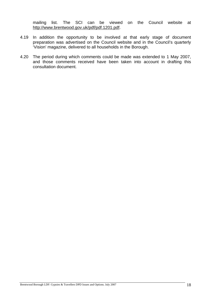mailing list. The SCI can be viewed on the Council website at http://www.brentwood.gov.uk/pdf/pdf.1201.pdf.

- 4.19 In addition the opportunity to be involved at that early stage of document preparation was advertised on the Council website and in the Council's quarterly 'Vision' magazine, delivered to all households in the Borough.
- 4.20 The period during which comments could be made was extended to 1 May 2007, and those comments received have been taken into account in drafting this consultation document.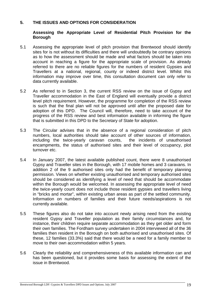#### **5. THE ISSUES AND OPTIONS FOR CONSIDERATION**

#### **Assessing the Appropriate Level of Residential Pitch Provision for the Borough**

- 5.1 Assessing the appropriate level of pitch provision that Brentwood should identify sites for is not without its difficulties and there will undoubtedly be contrary opinions as to how the assessment should be made and what factors should be taken into account in reaching a figure for the appropriate scale of provision. As already referred to there are no reliable figures for the numbers of resident Gypsies and Travellers at a national, regional, county or indeed district level. Whilst this information may improve over time, this consultation document can only refer to data currently available.
- 5.2 As referred to in Section 3, the current RSS review on the issue of Gypsy and Traveller accommodation in the East of England will eventually provide a district level pitch requirement. However, the programme for completion of the RSS review is such that the final plan will not be approved until after the proposed date for adoption of this DPD. The Council will, therefore, need to take account of the progress of the RSS review and best information available in informing the figure that is submitted in this DPD to the Secretary of State for adoption.
- 5.3 The Circular advises that in the absence of a regional consideration of pitch numbers, local authorities should take account of other sources of information, including the twice-yearly caravan counts, the incidents of unauthorised encampments, the status of authorised sites and their level of occupancy, plot turnover etc.
- 5.4 In January 2007, the latest available published count, there were 8 unauthorised Gypsy and Traveller sites in the Borough, with 17 mobile homes and 3 caravans. In addition 2 of the 9 authorised sites only had the benefit of temporary planning permission. Views on whether existing unauthorised and temporary authorised sites should be considered as identifying a level of need that should be accommodate within the Borough would be welcomed. In assessing the appropriate level of need the twice-yearly count does not include those resident gypsies and travellers living in "bricks and mortar", within existing urban areas as part of the settled community. Information on numbers of families and their future needs/aspirations is not currently available.
- 5.5 These figures also do not take into account newly arising need from the existing resident Gypsy and Traveller population as their family circumstances and, for instance, their children require separate accommodation as they get older and form their own families. The Fordham survey undertaken in 2004 interviewed all of the 36 families then resident in the Borough on both authorised and unauthorised sites. Of these, 12 families (33.3%) said that there would be a need for a family member to move to their own accommodation within 5 years.
- 5.6 Clearly the reliability and comprehensiveness of this available information can and has been questioned, but it provides some basis for assessing the extent of the issue in Brentwood.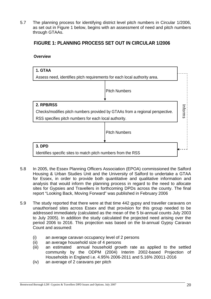5.7 The planning process for identifying district level pitch numbers in Circular 1/2006, as set out in Figure 1 below, begins with an assessment of need and pitch numbers through GTAAs.

#### **FIGURE 1: PLANNING PROCESS SET OUT IN CIRCULAR 1/2006**

#### **Overview**

| 1. GTAA<br>Assess need, identifies pitch requirements for each local authority area.                                                                |                      |  |  |
|-----------------------------------------------------------------------------------------------------------------------------------------------------|----------------------|--|--|
|                                                                                                                                                     | <b>Pitch Numbers</b> |  |  |
| 2. RPB/RSS<br>Checks/modifies pitch numbers provided by GTAAs from a regional perspective.<br>RSS specifies pitch numbers for each local authority. |                      |  |  |
|                                                                                                                                                     | <b>Pitch Numbers</b> |  |  |
| 3. DPD<br>Identifies specific sites to match pitch numbers from the RSS                                                                             |                      |  |  |

- 5.8 In 2005, the Essex Planning Officers Association (EPOA) commissioned the Salford Housing & Urban Studies Unit and the University of Salford to undertake a GTAA for Essex, in order to provide both quantitative and qualitative information and analysis that would inform the planning process in regard to the need to allocate sites for Gypsies and Travellers in forthcoming DPDs across the county. The final report "Looking Back, Moving Forward" was published in February 2006
- 5.9 The study reported that there were at that time 442 gypsy and traveller caravans on unauthorised sites across Essex and that provision for this group needed to be addressed immediately (calculated as the mean of the 5 bi-annual counts July 2003 to July 2005). In addition the study calculated the projected need arising over the period 2006 to 2016. This projection was based on the bi-annual Gypsy Caravan Count and assumed:
	- (i) an average caravan occupancy level of 2 persons
	- (ii) an average household size of 4 persons
	- (iii) an estimated annual household growth rate as applied to the settled community by the ODPM (2004) Interim 2002-based Projection of Households in England i.e. 4.95% 2006-2011 and 5.16% 20011-2016
	- (iv) an average of 2 caravans per pitch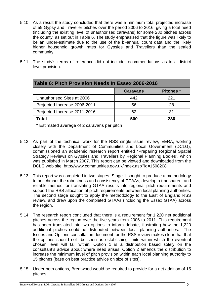- 5.10 As a result the study concluded that there was a minimum total projected increase of 59 Gypsy and Traveller pitches over the period 2006 to 2016, giving a total need (including the existing level of unauthorised caravans) for some 280 pitches across the county, as set out in Table 6. The study emphasised that the figure was likely to be an under-estimate due to the use of the bi-annual count data and the likely higher household growth rates for Gypsies and Travellers than the settled community.
- 5.11 The study's terms of reference did not include recommendations as to a district level provision.

| Table 6: Pitch Provision Needs In Essex 2006-2016 |     |     |  |  |  |  |
|---------------------------------------------------|-----|-----|--|--|--|--|
| <b>Caravans</b><br><b>Pitches</b> *               |     |     |  |  |  |  |
| Unauthorised Sites at 2006                        | 442 | 221 |  |  |  |  |
| Projected Increase 2006-2011                      | 56  | 28  |  |  |  |  |
| Projected Increase 2011-2016                      | 62  | 31  |  |  |  |  |
| Total<br>560<br>280                               |     |     |  |  |  |  |
| * Estimated average of 2 caravans per pitch       |     |     |  |  |  |  |

- 5.12 As part of the technical work for the RSS single issue review, EERA, working closely with the Department of Communities and Local Government (DCLG), commissioned an academic research report entitled "Preparing Regional Spatial Strategy Reviews on Gypsies and Travellers by Regional Planning Bodies", which was published in March 2007. This report can be viewed and downloaded from the DCLG web site: http://www.communities.gov.uk/index.asp?id=1508208.
- 5.13 This report was completed in two stages. Stage 1 sought to produce a methodology to benchmark the robustness and consistency of GTAAs; develop a transparent and reliable method for translating GTAA results into regional pitch requirements and support the RSS allocation of pitch requirements between local planning authorities. The second stage sought to apply the methodology to the East of England RSS review, and drew upon the completed GTAAs (including the Essex GTAA) across the region.
- 5.14 The research report concluded that there is a requirement for 1,220 net additional pitches across the region over the five years from 2006 to 2011. This requirement has been translated into two options to inform debate, illustrating how the 1,220 additional pitches could be distributed between local planning authorities. The Issues and Options consultation document for the RSS review makes clear that that the options should not be seen as establishing limits within which the eventual chosen level will fall within. Option 1 is a distribution based solely on the consultant's advice about where need arises. Option 2 amends the distribution to increase the minimum level of pitch provision within each local planning authority to 15 pitches (base on best practice advice on size of sites).
- 5.15 Under both options, Brentwood would be required to provide for a net addition of 15 pitches.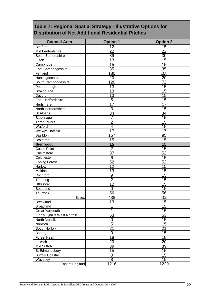### **Table 7: Regional Spatial Strategy - Illustrative Options for Distribution of Net Additional Residential Pitches**

| <b>Council Area</b>        | <b>Option 1</b> | <b>Option 2</b> |
|----------------------------|-----------------|-----------------|
| Bedford                    | 12              | 15              |
| Mid Bedfordshire           | $\overline{22}$ | 22              |
| South Bedfordshire         | 39              | 39              |
| Luton                      | $\overline{13}$ | 15              |
| Cambridge                  | $\overline{15}$ | 15              |
| East Cambridgeshire        | $\overline{35}$ | $\overline{35}$ |
| Fenland                    | 180             | 108             |
| Huntingdonshire            | $\overline{20}$ | $\overline{20}$ |
| South Cambridgeshire       | 120             | $\overline{72}$ |
| Peterborough               | $\overline{13}$ | $\overline{15}$ |
| Broxbourne                 | 13              | 15              |
| Dacorum                    | 13              | 15              |
| East Hertfordshire         | $\overline{5}$  | $\overline{15}$ |
| Hertsmere                  | 17              | $\overline{17}$ |
| North Hertfordshire        | $\overline{3}$  | 15              |
| St Albans                  | $\overline{34}$ | $\overline{34}$ |
| Stevenage                  | 7               | 15              |
| <b>Three Rivers</b>        | $\overline{2}$  | $\overline{15}$ |
| Watford                    | $\overline{4}$  | $\overline{15}$ |
| Welwyn Hatfield            | $\overline{17}$ | $\overline{17}$ |
| Basildon                   | 157             | 95              |
| <b>Braintree</b>           | $\overline{15}$ | $\overline{15}$ |
| <b>Brentwood</b>           | $\overline{15}$ | 15              |
| <b>Castle Point</b>        | $\overline{2}$  | 15              |
| Chelmsford                 | $\overline{87}$ | 52              |
| Colchester                 | 6               | 15              |
| <b>Epping Forest</b>       | 52              | 52              |
| Harlow                     | $\overline{12}$ | 15              |
| Maldon                     | $\overline{13}$ | $\overline{15}$ |
| Rochford                   | $\overline{9}$  | 15              |
| Tendring                   | $\overline{2}$  | $\overline{15}$ |
| Uttlesford                 | $\overline{12}$ | 15              |
| Southend                   | $\overline{0}$  | 15              |
| Thurrock                   | 56              | 56              |
| <b>Essex</b>               | 438             | 405             |
| <b>Breckland</b>           | 13              | 15              |
| <b>Broadland</b>           | 1               | 15              |
| <b>Great Yarmouth</b>      | 1               | $\overline{15}$ |
| King's Lynn & West Norfolk | 53              | 53              |
| North Norfolk              | $\mathbf 0$     | $\overline{15}$ |
| Norwich                    | $\overline{5}$  | 15              |
| South Norfolk              | $\overline{21}$ | $\overline{21}$ |
| Babergh                    | $\overline{0}$  | $\overline{15}$ |
| Forest Heath               | $\overline{18}$ | $\overline{18}$ |
| Ipswich                    | $\overline{20}$ | $\overline{20}$ |
| <b>Mid Suffolk</b>         | 39              | 39              |
| St Edmundsbury             | $\overline{15}$ | $\overline{15}$ |
| <b>Suffolk Coastal</b>     | $\mathbf 0$     | 15              |
| Waveney                    | $\overline{8}$  | 15              |
| East of England            | 1216            | 1220            |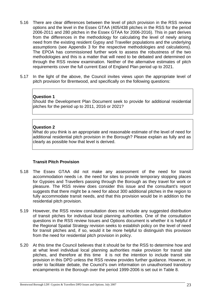- 5.16 There are clear differences between the level of pitch provision in the RSS review options and the level in the Essex GTAA (405/438 pitches in the RSS for the period 2006-2011 and 280 pitches in the Essex GTAA for 2006-2016). This in part derives from the differences in the methodology for calculating the level of newly arising need from the existing resident Gypsy and Traveller populations and the underlying assumptions (see Appendix 3 for the respective methodologies and calculations). The EPOA has commissioned further work to assess the robustness of the two methodologies and this is a matter that will need to be debated and determined on through the RSS review examination. Neither of the alternative estimates of pitch requirements cover the full current East of England Plan period up to 2021.
- 5.17 In the light of the above, the Council invites views upon the appropriate level of pitch provision for Brentwood, and specifically on the following questions:

#### **Question 1**

Should the Development Plan Document seek to provide for additional residential pitches for the period up to 2011, 2016 or 2021?

#### **Question 2**

What do you think is an appropriate and reasonable estimate of the level of need for additional residential pitch provision in the Borough? Please explain as fully and as clearly as possible how that level is derived.

#### **Transit Pitch Provision**

- 5.18 The Essex GTAA did not make any assessment of the need for transit accommodation needs i.e. the need for sites to provide temporary stopping places for Gypsies and Travellers passing through the Borough as they travel for work or pleasure. The RSS review does consider this issue and the consultant's report suggests that there might be a need for about 300 additional pitches in the region to fully accommodate transit needs, and that this provision would be in addition to the residential pitch provision.
- 5.19 However, the RSS review consultation does not include any suggested distribution of transit pitches for individual local planning authorities. One of the consultation questions in the RSS review Issues and Options document is whether it is helpful if the Regional Spatial Strategy revision seeks to establish policy on the level of need for transit pitches and, if so, would it be more helpful to distinguish this provision from the need for residential pitch provision in policy.
- 5.20 At this time the Council believes that it should be for the RSS to determine how and at what level individual local planning authorities make provision for transit site pitches, and therefore at this time it is not the intention to include transit site provision in this DPD unless the RSS review provides further guidance. However, in order to facilitate debate, the Council's own information on unauthorised transitory encampments in the Borough over the period 1999-2006 is set out in Table 8.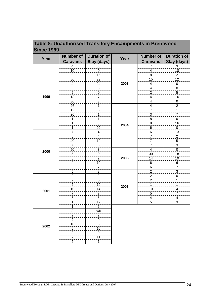| <b>Since 1999</b> |                                      | Number of   Duration of |      |                 | Number of   Duration of |
|-------------------|--------------------------------------|-------------------------|------|-----------------|-------------------------|
| Year              |                                      |                         | Year |                 |                         |
|                   | <b>Caravans</b>                      | <b>Stay (days)</b>      |      | <b>Caravans</b> | Stay (days)             |
|                   | 4                                    | $\frac{30}{2}$          |      |                 | 3                       |
|                   |                                      |                         |      |                 | 18                      |
|                   |                                      | ე                       |      |                 |                         |
|                   | 80                                   |                         | 2003 | 15              |                         |
|                   |                                      |                         |      |                 |                         |
|                   |                                      |                         |      |                 |                         |
| 1999              | 13                                   |                         |      |                 |                         |
|                   | 30                                   |                         |      |                 | 16                      |
|                   | 26                                   |                         |      |                 |                         |
|                   | 12                                   |                         |      |                 |                         |
|                   | 20                                   |                         |      |                 |                         |
|                   |                                      |                         |      |                 |                         |
|                   |                                      |                         |      | 8               |                         |
|                   |                                      | 99                      | 2004 | 6               |                         |
|                   |                                      |                         | 2005 | 6               | 13                      |
|                   | 6                                    |                         |      |                 |                         |
|                   | 40                                   |                         |      |                 |                         |
|                   | 30                                   | 3                       |      |                 | 3                       |
|                   | 50                                   | З                       |      | 4               | 0                       |
| 2000              | 5                                    |                         |      | 30              | 18                      |
|                   | 5                                    |                         |      | 14              | 19                      |
|                   |                                      | 10                      |      | 6               | 6                       |
|                   | 6                                    |                         |      | 6               |                         |
|                   | 5                                    | 8                       |      | $\overline{2}$  | 3                       |
|                   | $\overline{2}$                       | $\overline{c}$          |      | 2               | O                       |
|                   | 2                                    | 5                       |      | 2               |                         |
|                   | 2                                    | 19                      |      |                 |                         |
| 2001              | 10                                   | 14                      | 2006 | 10              |                         |
|                   |                                      | 7                       |      | 5               |                         |
|                   | 6                                    | 6                       |      | 4               | 4                       |
|                   |                                      | 12                      |      | 5               | З                       |
|                   |                                      | 5                       |      |                 |                         |
|                   | 3<br>,,,,,,,,,,,,,,,                 | N/K                     |      |                 |                         |
|                   | 2<br>                                |                         |      |                 |                         |
|                   | 2<br>                                | 9<br>անա                |      |                 |                         |
| 2002              | 10                                   | 6                       |      |                 |                         |
|                   | 6                                    | 1 O<br>                 |      |                 |                         |
|                   | 8<br>,,,,,,,,,,,,,,,,,,,,,,,,,,,,,,, | 9<br>                   |      |                 |                         |
|                   | 2<br>,,,,,,,,,,,,,,,,,,,,,,,,,,,,,   | 11                      |      |                 |                         |
|                   | 2                                    |                         |      |                 |                         |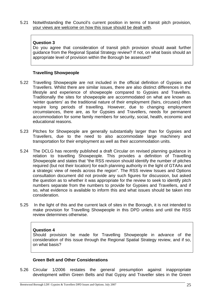5.21 Notwithstanding the Council's current position in terms of transit pitch provision, your views are welcome on how this issue should be dealt with.

#### **Question 3**

Do you agree that consideration of transit pitch provision should await further guidance from the Regional Spatial Strategy review? If not, on what basis should an appropriate level of provision within the Borough be assessed?

#### **Travelling Showpeople**

- 5.22 Travelling Showpeople are not included in the official definition of Gypsies and Travellers. Whilst there are similar issues, there are also distinct differences in the lifestyle and experience of showpeople compared to Gypsies and Travellers. Traditionally the sites for showpeople are accommodated on what are known as 'winter quarters' as the traditional nature of their employment (fairs, circuses) often require long periods of travelling. However, due to changing employment circumstances, there are, as for Gypsies and Travellers, needs for permanent accommodation for some family members for security, social, health, economic and educational reasons.
- 5.23 Pitches for Showpeople are generally substantially larger than for Gypsies and Travellers, due to the need to also accommodate large machinery and transportation for their employment as well as their accommodation units.
- 5.24 The DCLG has recently published a draft Circular on revised planning guidance in relation to travelling Showpeople. This provides a definition of Travelling Showpeople and states that "the RSS revision should identify the number of pitches required (but not their location) for each planning authority in the light of GTAAs and a strategic view of needs across the region". The RSS review Issues and Options consultation document did not provide any such figures for discussion, but asked the question as to whether it was appropriate for the review to seek to identify pitch numbers separate from the numbers to provide for Gypsies and Travellers, and if so, what evidence is available to inform this and what issues should be taken into consideration.
- 5.25 In the light of this and the current lack of sites in the Borough, it is not intended to make provision for Travelling Showpeople in this DPD unless and until the RSS review determines otherwise.

#### **Question 4**

Should provision be made for Travelling Showpeople in advance of the consideration of this issue through the Regional Spatial Strategy review, and if so, on what basis?

#### **Green Belt and Other Considerations**

5.26 Circular 1/2006 restates the general presumption against inappropriate development within Green Belts and that Gypsy and Traveller sites in the Green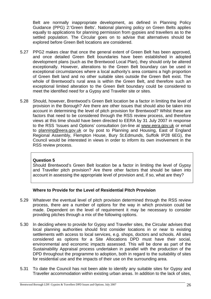Belt are normally inappropriate development, as defined in Planning Policy Guidance (PPG) 2:'Green Belts'. National planning policy on Green Belts applies equally to applications for planning permission from gypsies and travellers as to the settled population. The Circular goes on to advise that alternatives should be explored before Green Belt locations are considered.

- 5.27 PPG2 makes clear that once the general extent of Green Belt has been approved, and once detailed Green Belt boundaries have been established in adopted development plans (such as the Brentwood Local Plan), they should only be altered exceptionally. However, alterations to the Green Belt boundary can be used in exceptional circumstances where a local authority's area contains a high proportion of Green Belt land and no other suitable sites outside the Green Belt exist. The whole of Brentwood's rural area is within the Green Belt, and therefore such an exceptional limited alteration to the Green Belt boundary could be considered to meet the identified need for a Gypsy and Traveller site or sites.
- 5.28 Should, however, Brentwood's Green Belt location be a factor in limiting the level of provision in the Borough? Are there are other issues that should also be taken into account in determining the level of pitch provision for Brentwood? Whilst these are factors that need to be considered through the RSS review process, and therefore views at this time should have been directed to EERA by 31 July 2007 in response to the RSS 'Issues and Options' consultation (on-line at www.eera.gov.uk or email to planning@eera.gov.uk or by post to Planning and Housing, East of England Regional Assembly, Flempton House, Bury St.Edmunds, Suffolk IP28 6EG), the Council would be interested in views in order to inform its own involvement in the RSS review process.

#### **Question 5**

Should Brentwood's Green Belt location be a factor in limiting the level of Gypsy and Traveller pitch provision? Are there other factors that should be taken into account in assessing the appropriate level of provision and, if so, what are they?

#### **Where to Provide for the Level of Residential Pitch Provision**

- 5.29 Whatever the eventual level of pitch provision determined through the RSS review process, there are a number of options for the way in which provision could be made. Dependent on the level of requirement it may be necessary to consider providing pitches through a mix of the following options.
- 5.30 In deciding where to provide for Gypsy and Traveller sites, the Circular advises that local planning authorities should first consider locations in or near to existing settlements with access to local services, e.g. shops, doctors and schools. All sites considered as options for a Site Allocations DPD must have their social, environmental and economic impacts assessed. This will be done as part of the Sustainability Appraisal process undertaken in parallel with the production of the DPD throughout the programme to adoption, both in regard to the suitability of sites for residential use and the impacts of their use on the surrounding area.
- 5.31 To date the Council has not been able to identify any suitable sites for Gypsy and Traveller accommodation within existing urban areas. In addition to the lack of sites,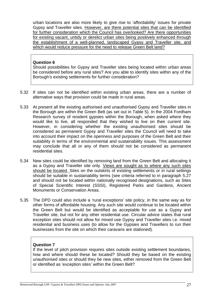urban locations are also more likely to give rise to 'affordability' issues for private Gypsy and Traveller sites. However, are there potential sites that can be identified for further consideration which the Council has overlooked? Are there opportunities for existing vacant, untidy or derelict urban sites being positively enhanced through the establishment of a well-planned, landscaped Gypsy and Traveller site, and which would reduce pressure for the need to release Green Belt land?

#### **Question 6**

Should possibilities for Gypsy and Traveller sites being located within urban areas be considered before any rural sites? Are you able to identify sites within any of the Borough's existing settlements for further consideration?

- 5.32 If sites can not be identified within existing urban areas, there are a number of alternative ways that provision could be made in rural areas.
- 5.33 At present all the existing authorised and unauthorised Gypsy and Traveller sites in the Borough are within the Green Belt (as set out in Table 5). In the 2004 Fordham Research survey of resident gypsies within the Borough, when asked where they would like to live, all responded that they wished to live on their current site. However, in considering whether the existing unauthorised sites should be considered as permanent Gypsy and Traveller sites the Council will need to take into account their impact on the openness and purposes of the Green Belt and their suitability in terms of the environmental and sustainability issues. This assessment may conclude that all or any of them should not be considered as permanent residential sites.
- 5.34 New sites could be identified by removing land from the Green Belt and allocating it as a Gypsy and Traveller site only. Views are sought as to where any such sites should be located. Sites on the outskirts of existing settlements or in rural settings should be suitable in sustainability terms (see criteria referred to in paragraph 5.27 and should not be located within nationally recognised designations, such as Sites of Special Scientific Interest (SSSI), Registered Parks and Gardens, Ancient Monuments or Conservation Areas.
- 5.35 The DPD could also include a 'rural exceptions' site policy, in the same way as for other forms of affordable housing. Any such site would continue to be located within the Green Belt but would be identified as acceptable for use as a Gypsy and Traveller site, but not for any other residential use. Circular advice states that rural exception sites should not allow for mixed use Gypsy and Traveller sites i.e. mixed residential and business uses (to allow for the Gypsies and Travellers to run their businesses from the site on which their caravans are stationed).

#### **Question 7**

If the level of pitch provision requires sites outside existing settlement boundaries, how and where should these be located? Should they be based on the existing unauthorised sites or should they be new sites, either removed from the Green Belt or identified as 'exception sites' within the Green Belt?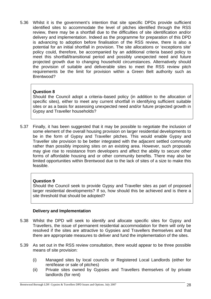5.36 Whilst it is the government's intention that site specific DPDs provide sufficient identified sites to accommodate the level of pitches identified through the RSS review, there may be a shortfall due to the difficulties of site identification and/or delivery and implementation. Indeed as the programme for preparation of this DPD is advancing to adoption before finalisation of the RSS review, there is also a potential for an initial shortfall in provision. The site allocations or 'exceptions site' policy could, therefore, be accompanied by an additional criteria based policy to meet this shortfall/transitional period and possibly unexpected need and future projected growth due to changing household circumstances. Alternatively should the provision of suitable and deliverable sites to meet the RSS review pitch requirements be the limit for provision within a Green Belt authority such as Brentwood?

#### **Question 8**

Should the Council adopt a criteria–based policy (in addition to the allocation of specific sites), either to meet any current shortfall in identifying sufficient suitable sites or as a basis for assessing unexpected need and/or future projected growth in Gypsy and Traveller households?

5.37 Finally, it has been suggested that it may be possible to negotiate the inclusion of some element of the overall housing provision on larger residential developments to be in the form of Gypsy and Traveller pitches. This would enable Gypsy and Traveller site provision to be better integrated with the adjacent settled community rather than possibly imposing sites on an existing area. However, such proposals may give rise to resistance from developers and affect the ability to secure other forms of affordable housing and or other community benefits. There may also be limited opportunities within Brentwood due to the lack of sites of a size to make this feasible.

#### **Question 9**

Should the Council seek to provide Gypsy and Traveller sites as part of proposed larger residential developments? If so, how should this be achieved and is there a site threshold that should be adopted?

#### **Delivery and Implementation**

- 5.38 Whilst the DPD will seek to identify and allocate specific sites for Gypsy and Travellers, the issue of permanent residential accommodation for them will only be resolved if the sites are attractive to Gypsies and Travellers themselves and that there are appropriate measures to deliver and fund the implementation of the sites.
- 5.39 As set out in the RSS review consultation, there would appear to be three possible means of site provision:
	- (i) Managed sites by local councils or Registered Local Landlords (either for rent/lease or sale of pitches)
	- (ii) Private sites owned by Gypsies and Travellers themselves of by private landlords (for rent)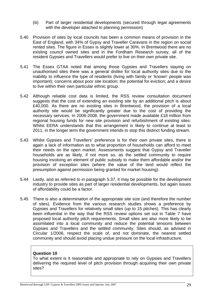- (iii) Part of larger residential developments (secured through legal agreements with the developer attached to planning permission)
- 5.40 Provision of sites by local councils has been a common means of provision in the East of England, with 34% of Gypsy and Traveller Caravans in the region on social rented sites. The figure in Essex is slightly lower at 30%. In Brentwood there are no existing council owned sites and in the Fordham Research survey, all of the resident Gypsies and Travellers would prefer to live on their own private site.
- 5.41 The Essex GTAA noted that among those Gypsies and Travellers staying on unauthorised sites there was a general dislike for local authority sites due to the inability to influence the type of residents (living with family or 'known' people was important); concerns about poor site location; the potential for eviction; and a desire to live within their own particular ethnic group.
- 5.42 Although reliable cost data is limited, the RSS review consultation document suggests that the cost of extending an existing site by an additional pitch is about £40,000. As there are no existing sites in Brentwood, the provision of a local authority site would be significantly greater due to the cost of providing the necessary services. In 2006-2008, the government made available £18 million from regional housing funds for new site provision and refurbishment of existing sites. Whilst EERA understands that this arrangement is likely to continue at least to 2011, in the longer term the government intends to stop this distinct funding stream.
- 5.43 Whilst Gypsies and Travellers' preference is for their own private sites, there is again a lack of information as to what proportion of households can afford to meet their needs on the open market. Assessments suggest that Gypsy and Traveller households are as likely, if not more so, as the settled community to require housing involving an element of public subsidy to make them affordable and/or the provision of exception sites (where the value of the land would reflect the presumption against permission being granted for market housing).
- 5.44 Lastly, and as referred to in paragraph 5.37, it may be possible for the development industry to provide sites as part of larger residential developments, but again issues of affordability could be a factor.
- 5.45 There is also a determination of the appropriate site size (and therefore the number of sites). Evidence from the various research studies shows a preference by Gypsies and Travellers for relatively small sites (up to 15 pitches). This has clearly been influential in the way that the RSS review options set out in Table 7 have proposed local authority pitch requirements. Small sites are also more likely to be assimilated into a local community and reduce the potential tensions between Gypsies and Travellers and the settled community. Sites should, as advised in Circular 1/2006, respect the scale of, and not dominate, the nearest settled community and should avoid placing undue pressure on the local infrastructure.

#### **Question 10**

To what extent is it reasonable and appropriate to rely on Gypsies and Travellers delivering the required level of pitch provision through acquiring their own private sites?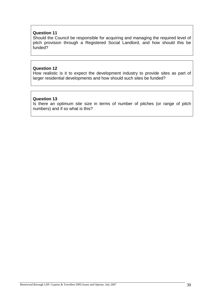#### **Question 11**

Should the Council be responsible for acquiring and managing the required level of pitch provision through a Registered Social Landlord, and how should this be funded?

#### **Question 12**

How realistic is it to expect the development industry to provide sites as part of larger residential developments and how should such sites be funded?

#### **Question 13**

Is there an optimum site size in terms of number of pitches (or range of pitch numbers) and if so what is this?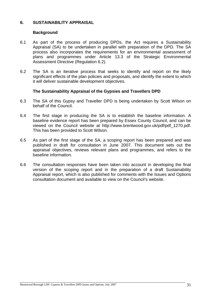#### **6. SUSTAINABILITY APPRAISAL**

#### **Background**

- 6.1 As part of the process of producing DPDs, the Act requires a Sustainability Appraisal (SA) to be undertaken in parallel with preparation of the DPD. The SA process also incorporates the requirements for an environmental assessment of plans and programmes under Article 13.3 of the Strategic Environmental Assessment Directive (Regulation 6.2).
- 6.2 The SA is an iterative process that seeks to identify and report on the likely significant effects of the plan policies and proposals, and identify the extent to which it will deliver sustainable development objectives.

#### **The Sustainability Appraisal of the Gypsies and Travellers DPD**

- 6.3 The SA of this Gypsy and Traveller DPD is being undertaken by Scott Wilson on behalf of the Council.
- 6.4 The first stage in producing the SA is to establish the baseline information. A baseline evidence report has been prepared by Essex County Council, and can be viewed on the Council website at http://www.brentwood.gov.uk/pdf/pdf\_1270.pdf. This has been provided to Scott Wilson.
- 6.5 As part of the first stage of the SA, a scoping report has been prepared and was published in draft for consultation in June 2007. This document sets out the appraisal objectives, reviews relevant plans and programmes, and refers to the baseline information.
- 6.6 The consultation responses have been taken into account in developing the final version of the scoping report and in the preparation of a draft Sustainability Appraisal report, which is also published for comments with the Issues and Options consultation document and available to view on the Council's website.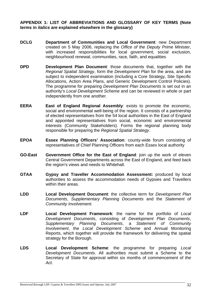#### **APPENDIX 1: LIST OF ABBREVIATIONS AND GLOSSARY OF KEY TERMS (Note terms in** *italics* **are explained elsewhere in the glossary)**

- **DCLG Department of Communities and Local Government**: new Department created on 5 May 2006, replacing the *Office of the Deputy Prime Minister*, with increased responsibilities for local government, social exclusion, neighbourhood renewal, communities, race, faith, and equalities
- **DPD Development Plan Document**: those documents that, together with the *Regional Spatial Strategy*, form the *Development Plan* for the area, and are subject to independent examination (including a Core Strategy, Site Specific Allocations, Action Area Plans, and Generic Development Control Policies). The programme for preparing *Development Plan Documents* is set out in an authority's *Local Development Scheme* and can be reviewed in whole or part independently from one another.
- **EERA East of England Regional Assembly**: exists to promote the economic, social and environmental well-being of the region. It consists of a partnership of elected representatives from the 54 local authorities in the East of England and appointed representatives from social, economic and environmental interests (Community Stakeholders). Forms the regional planning body responsible for preparing the *Regional Spatial Strategy*.
- **EPOA Essex Planning Officers' Association**: county-wide forum consisting of representatives of Chief Planning Officers from each Essex local authority
- **GO-East Government Office for the East of England**: join up the work of eleven Central Government Departments across the East of England, and feed back the region's views and needs to Whitehall.
- **GTAA Gypsy and Traveller Accommodation Assessment:** produced by local authorities to assess the accommodation needs of Gypsies and Travellers within their areas.
- **LDD Local Development Document**: the collective term for *Development Plan Documents*, *Supplementary Planning Documents* and the *Statement of Community Involvement.*
- **LDF Local Development Framework**: the name for the portfolio of *Local Development Documents*, consisting of *Development Plan Documents*, *Supplementary Planning Documents*, a *Statement of Community Involvement*, the *Local Development Scheme* and Annual Monitoring Reports, which together will provide the framework for delivering the spatial strategy for the Borough.
- **LDS Local Development Scheme**: the programme for preparing *Local Development Documents*. All authorities must submit a Scheme to the Secretary of State for approval within six months of commencement of *the Act*.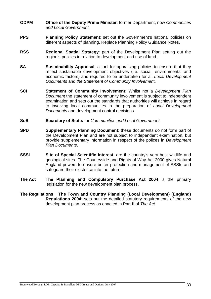- **ODPM Office of the Deputy Prime Minister**: former Department, now *Communities and Local Government.*
- **PPS** Planning Policy Statement: set out the Government's national policies on different aspects of planning. Replace Planning Policy Guidance Notes.
- **RSS Regional Spatial Strategy**: part of the Development Plan setting out the region's policies in relation to development and use of land.
- **SA Sustainability Appraisal**: a tool for appraising policies to ensure that they reflect sustainable development objectives (i.e. social, environmental and economic factors) and required to be undertaken for all *Local Development Documents* and *the Statement of Community Involvemen*t.
- **SCI Statement of Community Involvement**: Whilst not a *Development Plan Document* the statement of community involvement is subject to independent examination and sets out the standards that authorities will achieve in regard to involving local communities in the preparation of *Local Development Documents* and development control decisions.
- **SoS Secretary of State:** for *Communities and Local Government*
- **SPD Supplementary Planning Document**: these documents do not form part of the Development Plan and are not subject to independent examination, but provide supplementary information in respect of the polices in *Development Plan Documents*.
- **SSSI** Site of Special Scientific Interest: are the country's very best wildlife and geological sites. The Countryside and Rights of Way Act 2000 gives Natural England powers to ensure better protection and management of SSSIs and safeguard their existence into the future.
- **The Act The Planning and Compulsory Purchase Act 2004** is the primary legislation for the new development plan process.
- **The Regulations The Town and Country Planning (Local Development) (England) Regulations 2004**: sets out the detailed statutory requirements of the new development plan process as enacted in Part II of *The Act*.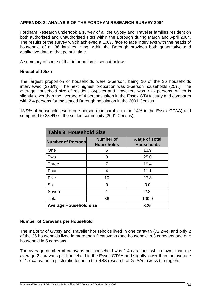#### **APPENDIX 2: ANALYSIS OF THE FORDHAM RESEARCH SURVEY 2004**

Fordham Research undertook a survey of all the Gypsy and Traveller families resident on both authorised and unauthorised sites within the Borough during March and April 2004. The results of the survey which achieved a 100% face to face interviews with the heads of household of all 36 families living within the Borough provides both quantitative and qualitative data at that point in time.

A summary of some of that information is set out below:

#### **Household Size**

The largest proportion of households were 5-person, being 10 of the 36 households interviewed (27.8%). The next highest proportion was 2-person households (25%). The average household size of resident Gypsies and Travellers was 3.25 persons, which is slightly lower than the average of 4 persons taken in the Essex GTAA study and compares with 2.4 persons for the settled Borough population in the 2001 Census.

13.9% of households were one person (comparable to the 14% in the Essex GTAA) and compared to 28.4% of the settled community (2001 Census).

| <b>Table 9: Household Size</b> |                                       |                                    |  |
|--------------------------------|---------------------------------------|------------------------------------|--|
| <b>Number of Personsl</b>      | <b>Number of</b><br><b>Households</b> | %age of Total<br><b>Households</b> |  |
| One                            | 5                                     | 13.9                               |  |
| Two                            | 9                                     | 25.0                               |  |
| <b>Three</b>                   | 7                                     | 19.4                               |  |
| Four                           | 4                                     | 11.1                               |  |
| Five                           | 10                                    | 27.8                               |  |
| <b>Six</b>                     | ∩                                     | 0.0                                |  |
| Seven                          |                                       | 2.8                                |  |
| Total                          | 36                                    | 100.0                              |  |
| <b>Average Household size</b>  |                                       | 3.25                               |  |

#### **Number of Caravans per Household**

The majority of Gypsy and Traveller households lived in one caravan (72.2%), and only 2 of the 36 households lived in more than 2 caravans (one household in 3 caravans and one household in 5 caravans.

The average number of caravans per household was 1.4 caravans, which lower than the average 2 caravans per household in the Essex GTAA and slightly lower than the average of 1.7 caravans to pitch ratio found in the RSS research of GTAAs across the region.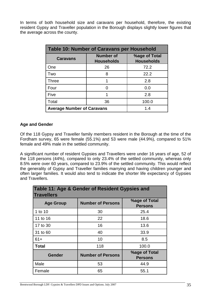In terms of both household size and caravans per household, therefore, the existing resident Gypsy and Traveller population in the Borough displays slightly lower figures that the average across the county.

| <b>Table 10: Number of Caravans per Household</b> |                                       |                                    |  |
|---------------------------------------------------|---------------------------------------|------------------------------------|--|
| <b>Caravans</b>                                   | <b>Number of</b><br><b>Households</b> | %age of Total<br><b>Households</b> |  |
| One                                               | 26                                    | 72.2                               |  |
| Two                                               | 8                                     | 22.2                               |  |
| <b>Three</b>                                      |                                       | 2.8                                |  |
| Four                                              |                                       | 0.0                                |  |
| Five                                              |                                       | 2.8                                |  |
| Total                                             | 36                                    | 100.0                              |  |
| <b>Average Number of Caravans</b>                 |                                       | 1.4                                |  |

#### **Age and Gender**

Of the 118 Gypsy and Traveller family members resident in the Borough at the time of the Fordham survey, 65 were female (55.1%) and 53 were male (44.9%), compared to 51% female and 49% male in the settled community.

A significant number of resident Gypsies and Travellers were under 16 years of age, 52 of the 118 persons (44%), compared to only 23.4% of the settled community, whereas only 8.5% were over 60 years, compared to 23.9% of the settled community. This would reflect the generality of Gypsy and Traveller families marrying and having children younger and often larger families. It would also tend to indicate the shorter life expectancy of Gypsies and Travellers.

| Table 11: Age & Gender of Resident Gypsies and<br><b>Travellers</b> |                          |                                 |  |  |
|---------------------------------------------------------------------|--------------------------|---------------------------------|--|--|
| <b>Age Group</b>                                                    | <b>Number of Persons</b> | %age of Total<br><b>Persons</b> |  |  |
| 1 to 10                                                             | 30                       | 25.4                            |  |  |
| 11 to 16                                                            | 22                       | 18.6                            |  |  |
| 17 to 30                                                            | 16                       | 13.6                            |  |  |
| 31 to 60                                                            | 40                       | 33.9                            |  |  |
| $61+$                                                               | 10                       | 8.5                             |  |  |
| <b>Total</b>                                                        | 118                      | 100.0                           |  |  |
| <b>Gender</b>                                                       | <b>Number of Persons</b> | %age of Total<br><b>Persons</b> |  |  |
| Male                                                                | 53                       | 44.9                            |  |  |
| Female                                                              | 65                       | 55.1                            |  |  |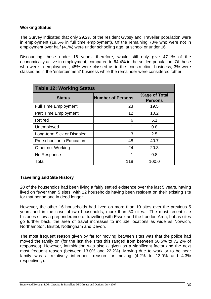#### **Working Status**

The Survey indicated that only 29.2% of the resident Gypsy and Traveller population were in employment (19.5% in full time employment). Of the remaining 70% who were not in employment over half (41%) were under schooling age, at school or under 16.

Discounting those under 16 years, therefore, would still only give 47.1% of the economically active in employment, compared to 64.4% in the settled population. Of those who were in employment, 45% were classed as in the 'construction' business, 3% were classed as in the 'entertainment' business while the remainder were considered 'other'.

| <b>Table 12: Working Status</b> |                          |                                        |  |  |
|---------------------------------|--------------------------|----------------------------------------|--|--|
| <b>Status</b>                   | <b>Number of Persons</b> | <b>%age of Total</b><br><b>Persons</b> |  |  |
| <b>Full Time Employment</b>     | 23                       | 19.5                                   |  |  |
| <b>Part Time Employment</b>     | 12                       | 10.2                                   |  |  |
| <b>Retired</b>                  | 6                        | 5.1                                    |  |  |
| Unemployed                      | 1                        | 0.8                                    |  |  |
| Long-term Sick or Disabled      | 3                        | 2.5                                    |  |  |
| Pre-school or in Education      | 48                       | 40.7                                   |  |  |
| Other not Working               | 24                       | 20.3                                   |  |  |
| No Response                     | 1                        | 0.8                                    |  |  |
| Total                           | 118                      | 100.0                                  |  |  |

#### **Travelling and Site History**

20 of the households had been living a fairly settled existence over the last 5 years, having lived on fewer than 5 sites, with 12 households having been resident on their existing site for that period and in deed longer.

However, the other 16 households had lived on more than 10 sites over the previous 5 years and in the case of two households, more than 50 sites. The most recent site histories show a preponderance of travelling with Essex and the London Area, but as sites go further back, the area of travel increases to include locations as wide as Norwich, Northampton, Bristol, Nottingham and Devon.

The most frequent reason given by far for moving between sites was that the police had moved the family on (for the last five sites this ranged from between 56.5% to 72.2% of responses). However, intimidation was also a given as a significant factor and the next most frequent reason (between 13.0% and 22.2%). Moving due to work or to be near family was a relatively infrequent reason for moving (4.2% to 13.0% and 4.3% respectively).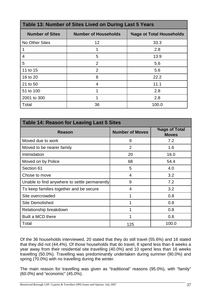| Table 13: Number of Sites Lived on During Last 5 Years |                             |                          |  |
|--------------------------------------------------------|-----------------------------|--------------------------|--|
| <b>Number of Sites</b>                                 | <b>Number of Households</b> | %age ot Total Households |  |
| <b>No Other Sites</b>                                  | 12                          | 33.3                     |  |
|                                                        |                             | 2.8                      |  |
| 4                                                      | 5                           | 13.9                     |  |
| 5                                                      | $\overline{2}$              | 5.6                      |  |
| 11 to 15                                               | $\overline{2}$              | 5.6                      |  |
| 16 to 20                                               | 8                           | 22.2                     |  |
| 21 to 50                                               | $\overline{4}$              | 11.1                     |  |
| 51 to 100                                              |                             | 2.8                      |  |
| 2001 to 300                                            |                             | 2.8                      |  |
| Total                                                  | 36                          | 100.0                    |  |

| <b>Table 14: Reason for Leaving Last 5 Sites</b> |                        |                                      |  |
|--------------------------------------------------|------------------------|--------------------------------------|--|
| <b>Reason</b>                                    | <b>Number of Moves</b> | <b>%age of Total</b><br><b>Moves</b> |  |
| Moved due to work                                | 9                      | 7.2                                  |  |
| Moved to be nearer family                        | 2                      | 1.6                                  |  |
| Intimidation                                     | 20                     | 16.0                                 |  |
| Moved on by Police                               | 68                     | 54.4                                 |  |
| Section 61                                       | 5                      | 4.0                                  |  |
| Chose to move                                    | $\overline{4}$         | 3.2                                  |  |
| Unable to find anywhere to settle permanently    | 9                      | 7.2                                  |  |
| To keep families together and be secure          | 4                      | 3.2                                  |  |
| Site overcrowded                                 | 1                      | 0.8                                  |  |
| <b>Site Demolished</b>                           | 1                      | 0.8                                  |  |
| Relationship breakdown                           | 1                      | 0.8                                  |  |
| Built a MCD there                                | 1                      | 0.8                                  |  |
| Total                                            | 125                    | 100.0                                |  |

Of the 36 households interviewed, 20 stated that they do still travel (55.6%) and 16 stated that they did not (44.4%). Of those households that do travel, 8 spend less than 6 weeks a year away from their residential site travelling (40.0%) and 10 spend less than 16 weeks travelling (50.0%). Travelling was predominantly undertaken during summer (90.0%) and spring (70.0%) with no travelling during the winter.

The main reason for travelling was given as "traditional" reasons (95.0%), with "family" (60.0%) and "economic" (45.0%).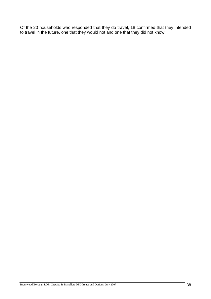Of the 20 households who responded that they do travel, 18 confirmed that they intended to travel in the future, one that they would not and one that they did not know.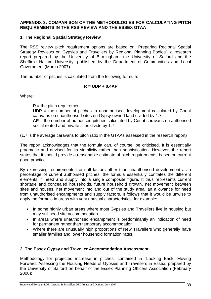#### **APPENDIX 3: COMPARISON OF THE METHODOLOGIES FOR CALCULATING PITCH REQUIREMENTS IN THE RSS REVIEW AND THE ESSEX GTAA**

#### **1. The Regional Spatial Strategy Review**

The RSS review pitch requirement options are based on "Preparing Regional Spatial Strategy Reviews on Gypsies and Travellers by Regional Planning Bodies", a research report prepared by the University of Birmingham, the University of Salford and the Sheffield Hallam University, published by the Department of Communities and Local Government (March 2007):

The number of pitches is calculated from the following formula:

#### **R = UDP + 0.4AP**

Where:

 $R =$  the pitch requirement

**UDP** = the number of pitches in unauthorised development calculated by Count caravans on unauthorised sites on Gypsy-owned land divided by 1.7

**AP** = the number of authorised pitches calculated by Count caravans on authorised social rented and private sites divide by 1.7

(1.7 is the average caravans to pitch ratio in the GTAAs assessed in the research report)

The report acknowledges that the formula can, of course, be criticised. It is essentially pragmatic and devised for its simplicity rather than sophistication. However, the report states that it should provide a reasonable estimate of pitch requirements, based on current good practice.

By expressing requirements from all factors other than unauthorised development as a percentage of current authorised pitches, the formula essentially conflates the different elements in need and supply into a single composite figure. It thus represents current shortage and concealed households, future household growth, net movement between sites and houses, net movement into and out of the study area, an allowance for need from unauthorised encampments and supply factors. It follows that it would be unwise to apply the formula in areas with very unusual characteristics, for example:

- In some highly urban areas where most Gypsies and Travellers live in housing but may still need site accommodation.
- In areas where unauthorised encampment is predominantly an indication of need for permanent rather than temporary accommodation.
- Where there are unusually high proportions of New Travellers who generally have smaller families and lower household formation rates.

#### **2. The Essex Gypsy and Traveller Accommodation Assessment**

Methodology for projected increase in pitches, contained in "Looking Back, Moving Forward: Assessing the Housing Needs of Gypsies and Travellers in Essex, prepared by the University of Salford on behalf of the Essex Planning Officers Association (February 2006):